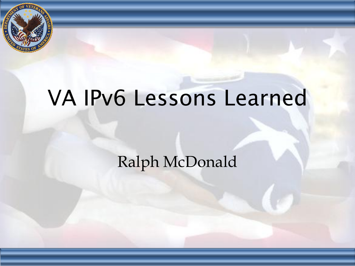

# VA IPv6 Lessons Learned

## Ralph McDonald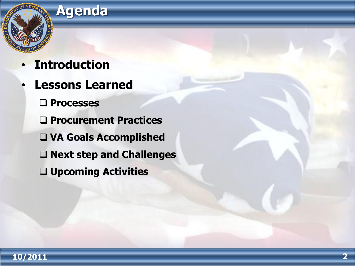

### • **Introduction**

- **Lessons Learned**
	- **Processes**
	- **Procurement Practices**
	- **VA Goals Accomplished**
	- **Next step and Challenges**
	- **Upcoming Activities**

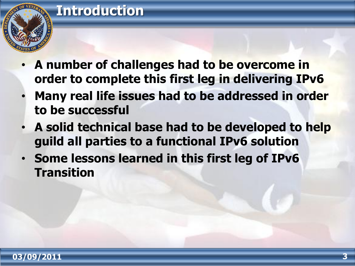### **Introduction**



- **A number of challenges had to be overcome in order to complete this first leg in delivering IPv6**
- **Many real life issues had to be addressed in order to be successful**
- **A solid technical base had to be developed to help guild all parties to a functional IPv6 solution**
- **Some lessons learned in this first leg of IPv6 Transition**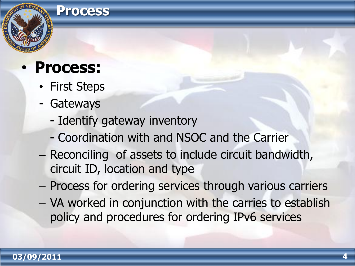#### **Process**

# • **Process:**

- First Steps
- Gateways
	- Identify gateway inventory
	- Coordination with and NSOC and the Carrier
- Reconciling of assets to include circuit bandwidth, circuit ID, location and type
- Process for ordering services through various carriers
- VA worked in conjunction with the carries to establish policy and procedures for ordering IPv6 services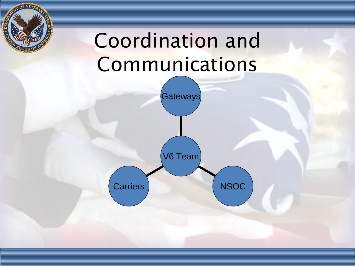# Coordination and **Communications**

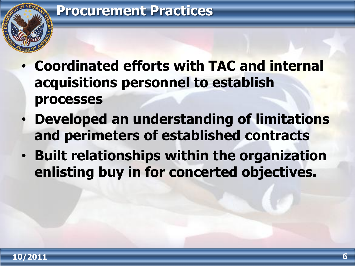

- **Coordinated efforts with TAC and internal acquisitions personnel to establish processes**
- **Developed an understanding of limitations and perimeters of established contracts**
- **Built relationships within the organization enlisting buy in for concerted objectives.**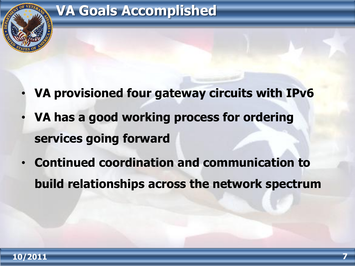

### **VA Goals Accomplished**

- **VA provisioned four gateway circuits with IPv6**
- **VA has a good working process for ordering services going forward**
- **Continued coordination and communication to build relationships across the network spectrum**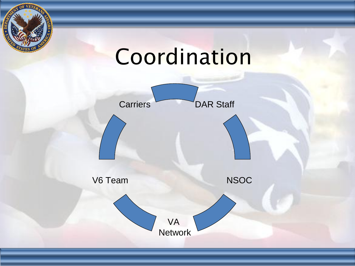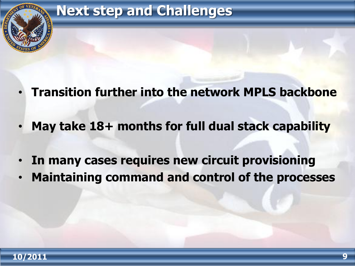

**Next step and Challenges** 

- **Transition further into the network MPLS backbone**
- **May take 18+ months for full dual stack capability**
- **In many cases requires new circuit provisioning**
- **Maintaining command and control of the processes**